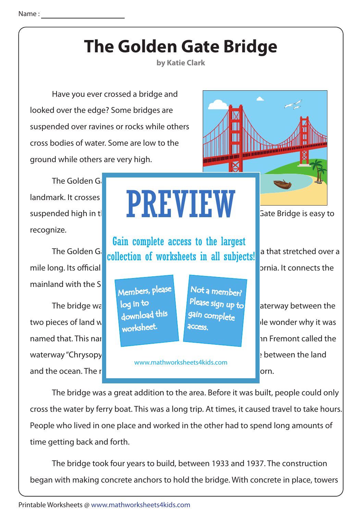#### **The Golden Gate Bridge**

**by Katie Clark**

 Have you ever crossed a bridge and looked over the edge? Some bridges are suspended over ravines or rocks while others cross bodies of water. Some are low to the ground while others are very high.

The Golden Ga landmark. It crosses **and it is in the value of water** recognize.

mainland with the San

waterway "Chrysopy and the ocean. The name studies are studied by the Golden Gate Strait was born.

#### suspended high in the air. Known **for the air. Known for its bridge** is easy to PREVIEW

The Golden Gillection of worksheets in all subjects! a that stretched over a Gain complete access to the largest

> Members, please download this worksheet. log in to

Not a member? gain complete Please sign up to **access** 

www.mathworksheets4kids.com

mile long. Its official length is 1.7 miles. It is 1.7 miles by in San Francisco, California. It connects the

The bridge was built in  $\mathbf{v}$  in  $\mathbf{v}$  aterway between the two pieces of land was named the Golden Gate Strait. Many people wonder why it was named that. This named that was given in 1846 when a man named that was given a man named the man named the se

 The bridge was a great addition to the area. Before it was built, people could only cross the water by ferry boat. This was a long trip. At times, it caused travel to take hours. People who lived in one place and worked in the other had to spend long amounts of time getting back and forth.

 The bridge took four years to build, between 1933 and 1937. The construction began with making concrete anchors to hold the bridge. With concrete in place, towers

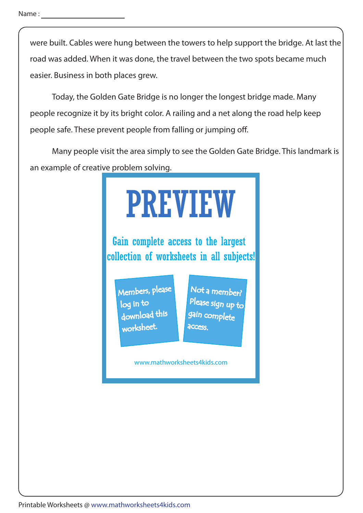were built. Cables were hung between the towers to help support the bridge. At last the road was added. When it was done, the travel between the two spots became much easier. Business in both places grew.

 Today, the Golden Gate Bridge is no longer the longest bridge made. Many people recognize it by its bright color. A railing and a net along the road help keep people safe. These prevent people from falling or jumping off.

 Many people visit the area simply to see the Golden Gate Bridge. This landmark is an example of creative problem solving.

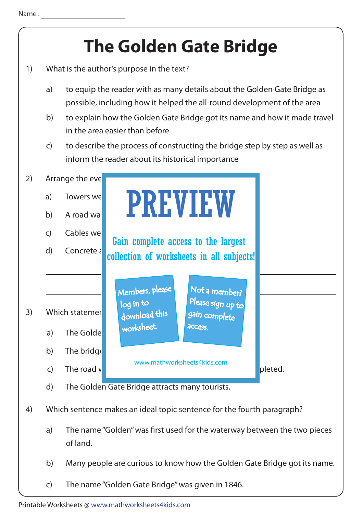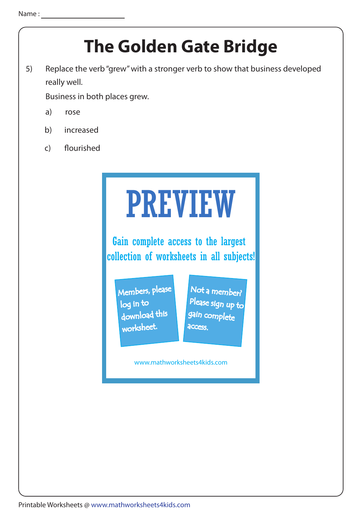## **The Golden Gate Bridge**

5) Replace the verb "grew" with a stronger verb to show that business developed really well.

Business in both places grew.

- a) rose
- b) increased
- c) flourished

# PREVIEW

Gain complete access to the largest collection of worksheets in all subjects!

Members, please download this worksheet. log in to

Not a member? gain complete Please sign up to **access** 

www.mathworksheets4kids.com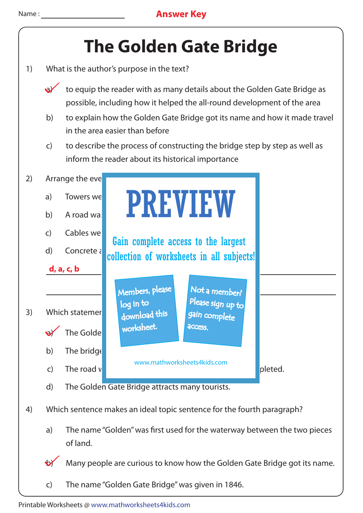

- 1) What is the author's purpose in the text?
	- to equip the reader with as many details about the Golden Gate Bridge as possible, including how it helped the all-round development of the area
	- b) to explain how the Golden Gate Bridge got its name and how it made travel in the area easier than before
	- c) to describe the process of constructing the bridge step by step as well as inform the reader about its historical importance